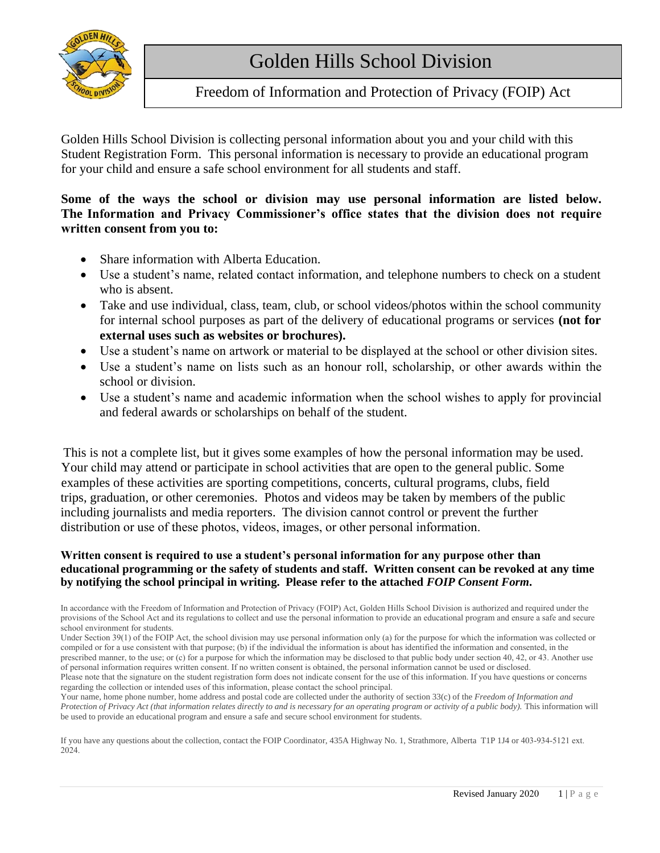

# Freedom of Information and Protection of Privacy (FOIP) Act

Golden Hills School Division is collecting personal information about you and your child with this Student Registration Form. This personal information is necessary to provide an educational program for your child and ensure a safe school environment for all students and staff.

### **Some of the ways the school or division may use personal information are listed below. The Information and Privacy Commissioner's office states that the division does not require written consent from you to:**

- Share information with Alberta Education.
- Use a student's name, related contact information, and telephone numbers to check on a student who is absent.
- Take and use individual, class, team, club, or school videos/photos within the school community for internal school purposes as part of the delivery of educational programs or services **(not for external uses such as websites or brochures).**
- Use a student's name on artwork or material to be displayed at the school or other division sites.
- Use a student's name on lists such as an honour roll, scholarship, or other awards within the school or division.
- Use a student's name and academic information when the school wishes to apply for provincial and federal awards or scholarships on behalf of the student.

This is not a complete list, but it gives some examples of how the personal information may be used. Your child may attend or participate in school activities that are open to the general public. Some examples of these activities are sporting competitions, concerts, cultural programs, clubs, field trips, graduation, or other ceremonies. Photos and videos may be taken by members of the public including journalists and media reporters. The division cannot control or prevent the further distribution or use of these photos, videos, images, or other personal information.

#### **Written consent is required to use a student's personal information for any purpose other than educational programming or the safety of students and staff. Written consent can be revoked at any time by notifying the school principal in writing. Please refer to the attached** *FOIP Consent Form***.**

In accordance with the Freedom of Information and Protection of Privacy (FOIP) Act, Golden Hills School Division is authorized and required under the provisions of the School Act and its regulations to collect and use the personal information to provide an educational program and ensure a safe and secure school environment for students.

If you have any questions about the collection, contact the FOIP Coordinator, 435A Highway No. 1, Strathmore, Alberta T1P 1J4 or 403-934-5121 ext. 2024.

Under Section 39(1) of the FOIP Act, the school division may use personal information only (a) for the purpose for which the information was collected or compiled or for a use consistent with that purpose; (b) if the individual the information is about has identified the information and consented, in the prescribed manner, to the use; or (c) for a purpose for which the information may be disclosed to that public body under section 40, 42, or 43. Another use

of personal information requires written consent. If no written consent is obtained, the personal information cannot be used or disclosed. Please note that the signature on the student registration form does not indicate consent for the use of this information. If you have questions or concerns regarding the collection or intended uses of this information, please contact the school principal.

Your name, home phone number, home address and postal code are collected under the authority of section 33(c) of the *Freedom of Information and Protection of Privacy Act (that information relates directly to and is necessary for an operating program or activity of a public body). This information will* be used to provide an educational program and ensure a safe and secure school environment for students.